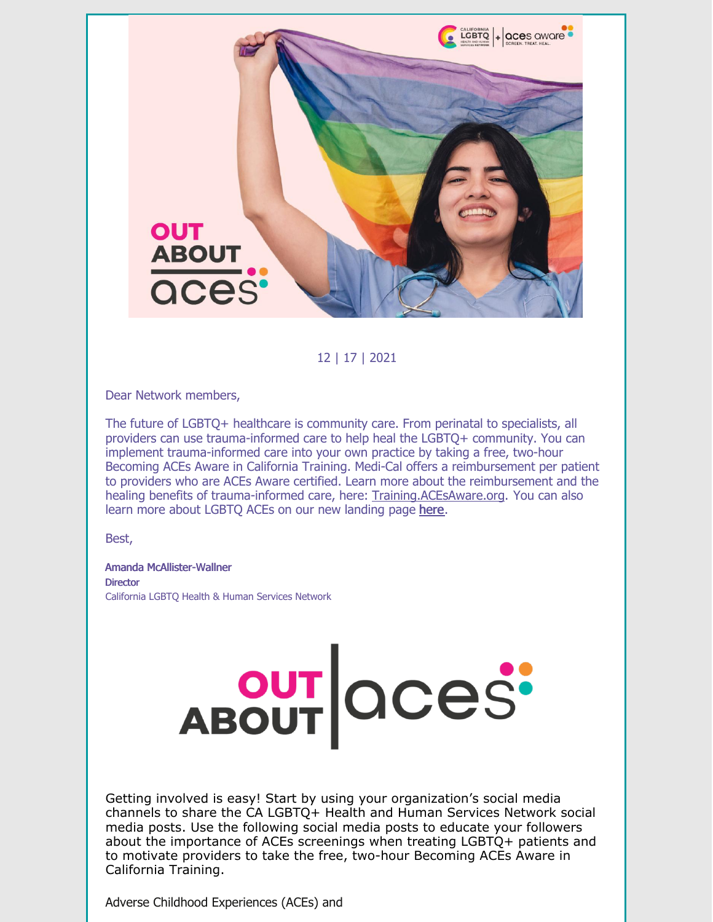

12 | 17 | 2021

Dear Network members,

The future of LGBTQ+ healthcare is community care. From perinatal to specialists, all providers can use trauma-informed care to help heal the LGBTQ+ community. You can implement trauma-informed care into your own practice by taking a free, two-hour Becoming ACEs Aware in California Training. Medi-Cal offers a reimbursement per patient to providers who are ACEs Aware certified. Learn more about the reimbursement and the healing benefits of trauma-informed care, here: [Training.ACEsAware.org](https://training.acesaware.org/). You can also learn more about LGBTQ ACEs on our new landing page [here](http://bit.ly/outaboutaces).

Best,

Amanda McAllister-Wallner **Director** California LGBTQ Health & Human Services Network

Getting involved is easy! Start by using your organization's social media channels to share the CA LGBTQ+ Health and Human Services Network social media posts. Use the following social media posts to educate your followers about the importance of ACEs screenings when treating LGBTQ+ patients and to motivate providers to take the free, two-hour Becoming ACEs Aware in California Training.

ABOUT QCeS'

Adverse Childhood Experiences (ACEs) and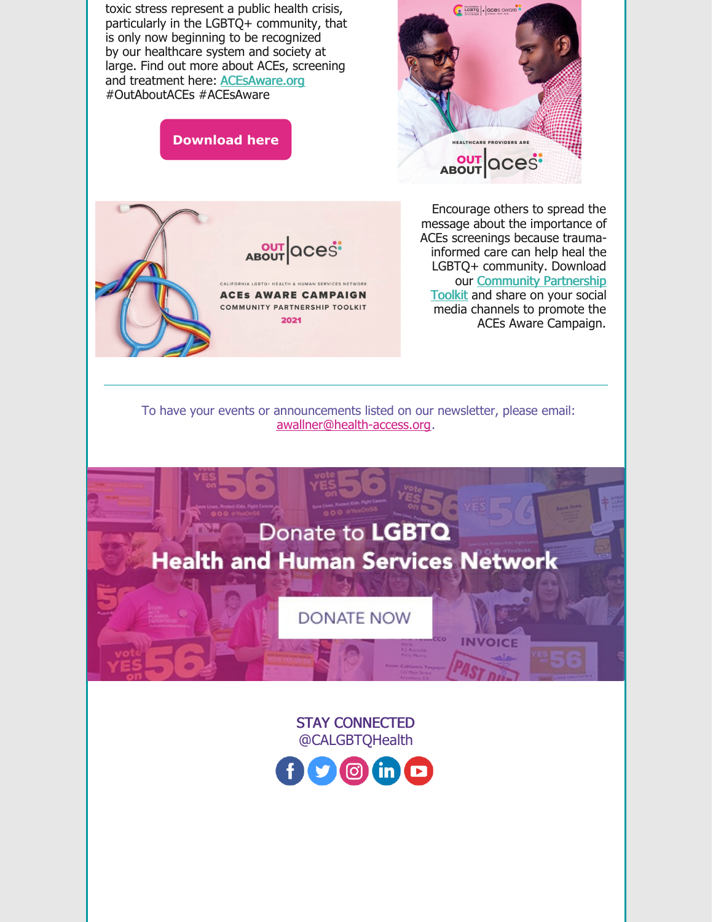

STAY CONNECTED @CALGBTQHealth